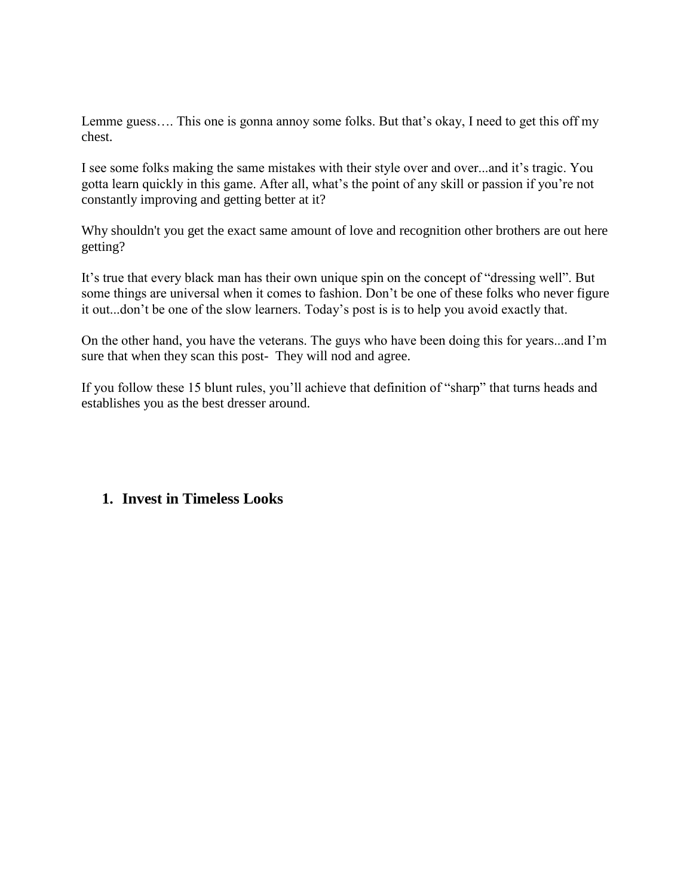Lemme guess…. This one is gonna annoy some folks. But that's okay, I need to get this off my chest.

I see some folks making the same mistakes with their style over and over...and it's tragic. You gotta learn quickly in this game. After all, what's the point of any skill or passion if you're not constantly improving and getting better at it?

Why shouldn't you get the exact same amount of love and recognition other brothers are out here getting?

It's true that every black man has their own unique spin on the concept of "dressing well". But some things are universal when it comes to fashion. Don't be one of these folks who never figure it out...don't be one of the slow learners. Today's post is is to help you avoid exactly that.

On the other hand, you have the veterans. The guys who have been doing this for years...and I'm sure that when they scan this post- They will nod and agree.

If you follow these 15 blunt rules, you'll achieve that definition of "sharp" that turns heads and establishes you as the best dresser around.

#### **1. Invest in Timeless Looks**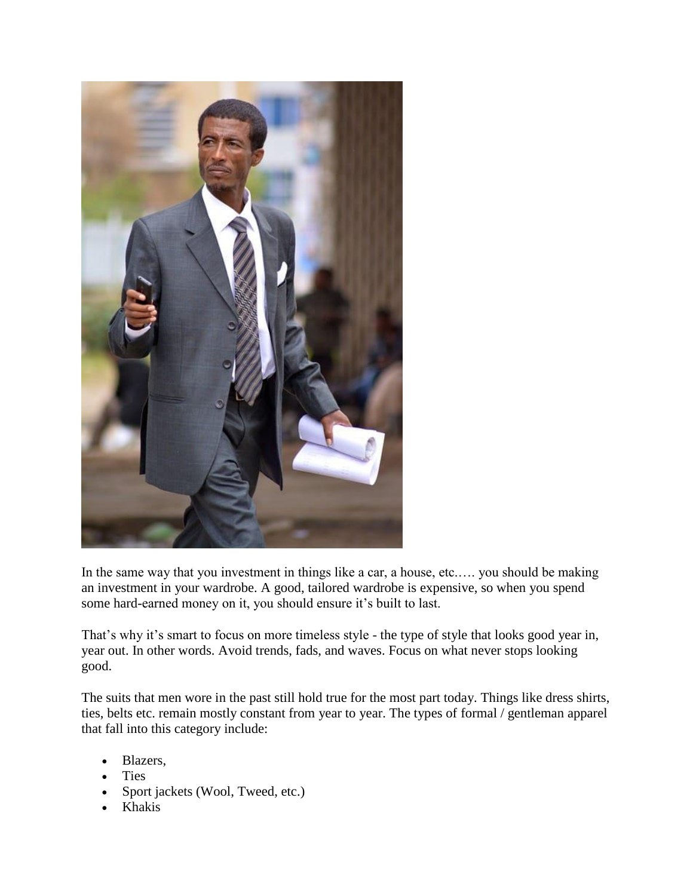

In the same way that you investment in things like a car, a house, etc.…. you should be making an investment in your wardrobe. A good, tailored wardrobe is expensive, so when you spend some hard-earned money on it, you should ensure it's built to last.

That's why it's smart to focus on more timeless style - the type of style that looks good year in, year out. In other words. Avoid trends, fads, and waves. Focus on what never stops looking good.

The suits that men wore in the past still hold true for the most part today. Things like dress shirts, ties, belts etc. remain mostly constant from year to year. The types of formal / gentleman apparel that fall into this category include:

- Blazers,
- Ties
- Sport jackets (Wool, Tweed, etc.)
- Khakis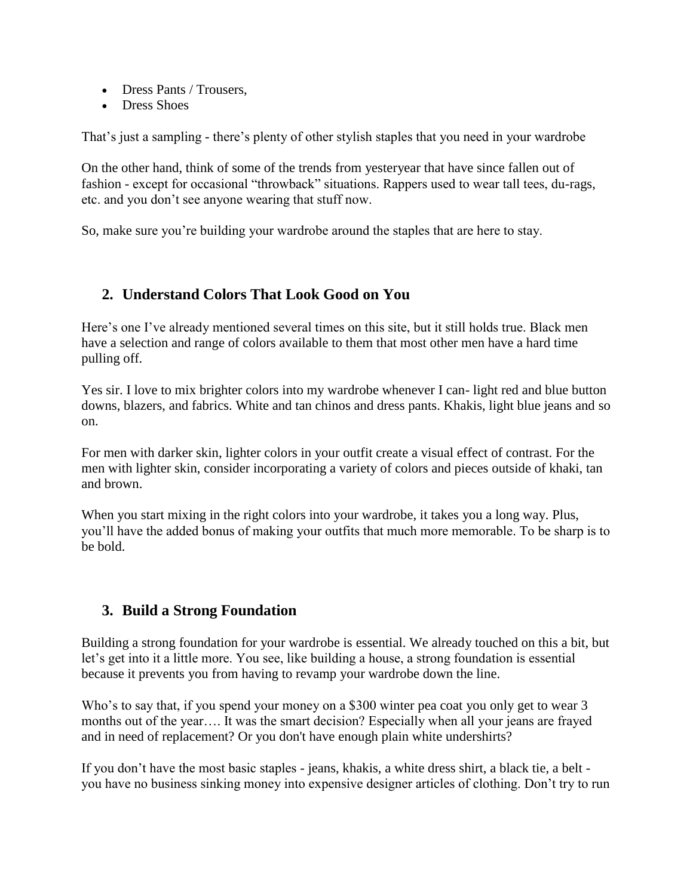- Dress Pants / Trousers.
- Dress Shoes

That's just a sampling - there's plenty of other stylish staples that you need in your wardrobe

On the other hand, think of some of the trends from yesteryear that have since fallen out of fashion - except for occasional "throwback" situations. Rappers used to wear tall tees, du-rags, etc. and you don't see anyone wearing that stuff now.

So, make sure you're building your wardrobe around the staples that are here to stay.

# **2. Understand Colors That Look Good on You**

Here's one I've already mentioned several times on this site, but it still holds true. Black men have a selection and range of colors available to them that most other men have a hard time pulling off.

Yes sir. I love to mix brighter colors into my wardrobe whenever I can- light red and blue button downs, blazers, and fabrics. White and tan chinos and dress pants. Khakis, light blue jeans and so on.

For men with darker skin, lighter colors in your outfit create a visual effect of contrast. For the men with lighter skin, consider incorporating a variety of colors and pieces outside of khaki, tan and brown.

When you start mixing in the right colors into your wardrobe, it takes you a long way. Plus, you'll have the added bonus of making your outfits that much more memorable. To be sharp is to be bold.

# **3. Build a Strong Foundation**

Building a strong foundation for your wardrobe is essential. We already touched on this a bit, but let's get into it a little more. You see, like building a house, a strong foundation is essential because it prevents you from having to revamp your wardrobe down the line.

Who's to say that, if you spend your money on a \$300 winter pea coat you only get to wear 3 months out of the year…. It was the smart decision? Especially when all your jeans are frayed and in need of replacement? Or you don't have enough plain white undershirts?

If you don't have the most basic staples - jeans, khakis, a white dress shirt, a black tie, a belt you have no business sinking money into expensive designer articles of clothing. Don't try to run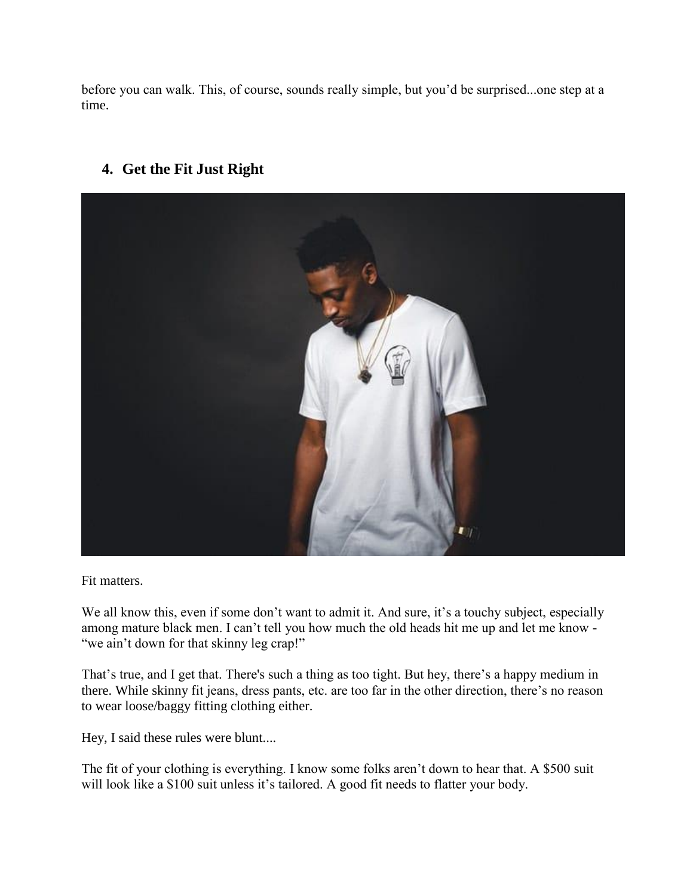before you can walk. This, of course, sounds really simple, but you'd be surprised...one step at a time.

# **4. Get the Fit Just Right**



Fit matters.

We all know this, even if some don't want to admit it. And sure, it's a touchy subject, especially among mature black men. I can't tell you how much the old heads hit me up and let me know - "we ain't down for that skinny leg crap!"

That's true, and I get that. There's such a thing as too tight. But hey, there's a happy medium in there. While skinny fit jeans, dress pants, etc. are too far in the other direction, there's no reason to wear loose/baggy fitting clothing either.

Hey, I said these rules were blunt....

The fit of your clothing is everything. I know some folks aren't down to hear that. A \$500 suit will look like a \$100 suit unless it's tailored. A good fit needs to flatter your body.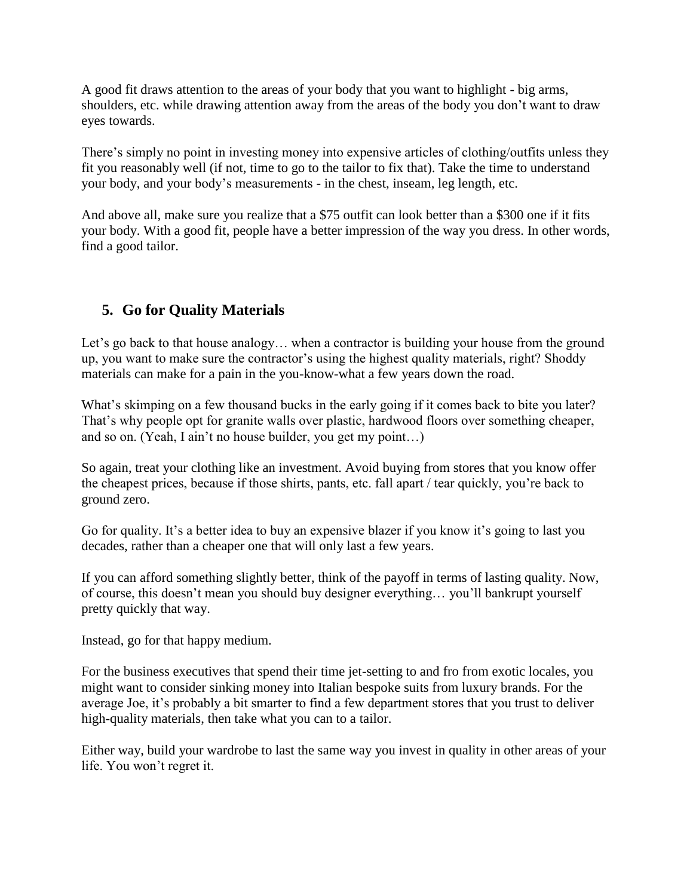A good fit draws attention to the areas of your body that you want to highlight - big arms, shoulders, etc. while drawing attention away from the areas of the body you don't want to draw eyes towards.

There's simply no point in investing money into expensive articles of clothing/outfits unless they fit you reasonably well (if not, time to go to the tailor to fix that). Take the time to understand your body, and your body's measurements - in the chest, inseam, leg length, etc.

And above all, make sure you realize that a \$75 outfit can look better than a \$300 one if it fits your body. With a good fit, people have a better impression of the way you dress. In other words, find a good tailor.

# **5. Go for Quality Materials**

Let's go back to that house analogy... when a contractor is building your house from the ground up, you want to make sure the contractor's using the highest quality materials, right? Shoddy materials can make for a pain in the you-know-what a few years down the road.

What's skimping on a few thousand bucks in the early going if it comes back to bite you later? That's why people opt for granite walls over plastic, hardwood floors over something cheaper, and so on. (Yeah, I ain't no house builder, you get my point…)

So again, treat your clothing like an investment. Avoid buying from stores that you know offer the cheapest prices, because if those shirts, pants, etc. fall apart / tear quickly, you're back to ground zero.

Go for quality. It's a better idea to buy an expensive blazer if you know it's going to last you decades, rather than a cheaper one that will only last a few years.

If you can afford something slightly better, think of the payoff in terms of lasting quality. Now, of course, this doesn't mean you should buy designer everything… you'll bankrupt yourself pretty quickly that way.

Instead, go for that happy medium.

For the business executives that spend their time jet-setting to and fro from exotic locales, you might want to consider sinking money into Italian bespoke suits from luxury brands. For the average Joe, it's probably a bit smarter to find a few department stores that you trust to deliver high-quality materials, then take what you can to a tailor.

Either way, build your wardrobe to last the same way you invest in quality in other areas of your life. You won't regret it.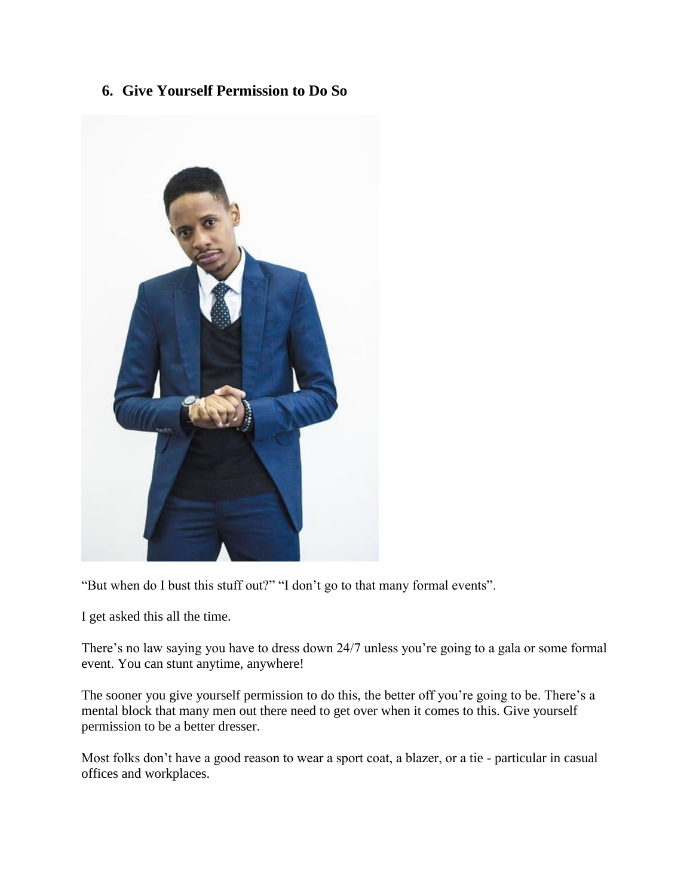**6. Give Yourself Permission to Do So**



"But when do I bust this stuff out?" "I don't go to that many formal events".

I get asked this all the time.

There's no law saying you have to dress down 24/7 unless you're going to a gala or some formal event. You can stunt anytime, anywhere!

The sooner you give yourself permission to do this, the better off you're going to be. There's a mental block that many men out there need to get over when it comes to this. Give yourself permission to be a better dresser.

Most folks don't have a good reason to wear a sport coat, a blazer, or a tie - particular in casual offices and workplaces.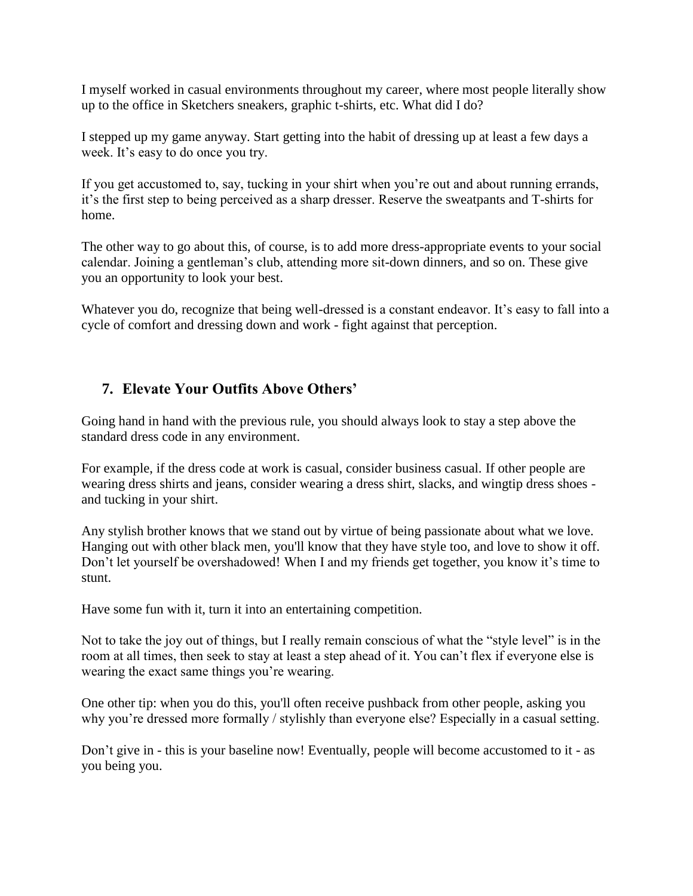I myself worked in casual environments throughout my career, where most people literally show up to the office in Sketchers sneakers, graphic t-shirts, etc. What did I do?

I stepped up my game anyway. Start getting into the habit of dressing up at least a few days a week. It's easy to do once you try.

If you get accustomed to, say, tucking in your shirt when you're out and about running errands, it's the first step to being perceived as a sharp dresser. Reserve the sweatpants and T-shirts for home.

The other way to go about this, of course, is to add more dress-appropriate events to your social calendar. Joining a gentleman's club, attending more sit-down dinners, and so on. These give you an opportunity to look your best.

Whatever you do, recognize that being well-dressed is a constant endeavor. It's easy to fall into a cycle of comfort and dressing down and work - fight against that perception.

### **7. Elevate Your Outfits Above Others'**

Going hand in hand with the previous rule, you should always look to stay a step above the standard dress code in any environment.

For example, if the dress code at work is casual, consider business casual. If other people are wearing dress shirts and jeans, consider wearing a dress shirt, slacks, and wingtip dress shoes and tucking in your shirt.

Any stylish brother knows that we stand out by virtue of being passionate about what we love. Hanging out with other black men, you'll know that they have style too, and love to show it off. Don't let yourself be overshadowed! When I and my friends get together, you know it's time to stunt.

Have some fun with it, turn it into an entertaining competition.

Not to take the joy out of things, but I really remain conscious of what the "style level" is in the room at all times, then seek to stay at least a step ahead of it. You can't flex if everyone else is wearing the exact same things you're wearing.

One other tip: when you do this, you'll often receive pushback from other people, asking you why you're dressed more formally / stylishly than everyone else? Especially in a casual setting.

Don't give in - this is your baseline now! Eventually, people will become accustomed to it - as you being you.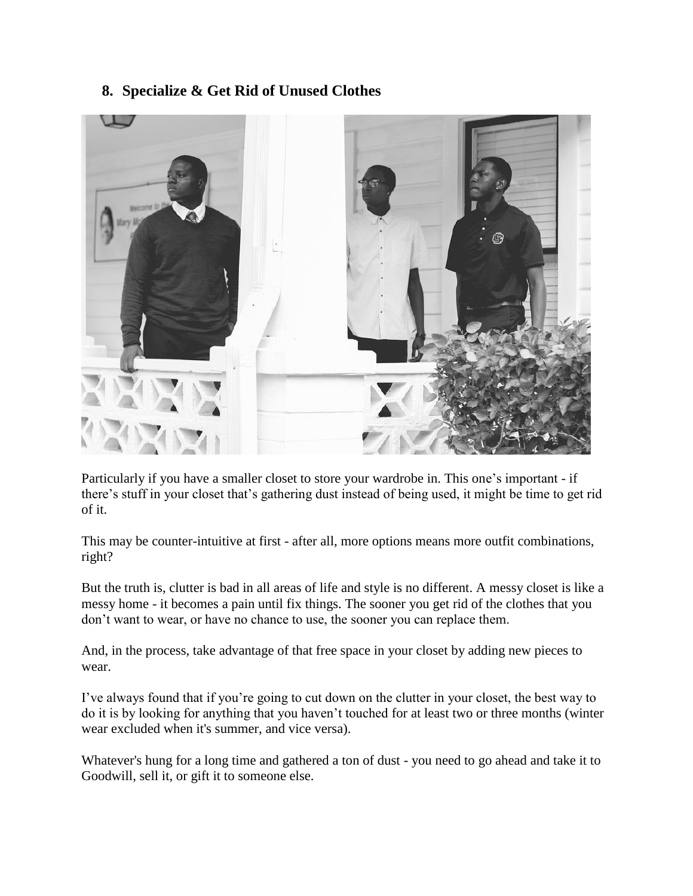## **8. Specialize & Get Rid of Unused Clothes**



Particularly if you have a smaller closet to store your wardrobe in. This one's important - if there's stuff in your closet that's gathering dust instead of being used, it might be time to get rid of it.

This may be counter-intuitive at first - after all, more options means more outfit combinations, right?

But the truth is, clutter is bad in all areas of life and style is no different. A messy closet is like a messy home - it becomes a pain until fix things. The sooner you get rid of the clothes that you don't want to wear, or have no chance to use, the sooner you can replace them.

And, in the process, take advantage of that free space in your closet by adding new pieces to wear.

I've always found that if you're going to cut down on the clutter in your closet, the best way to do it is by looking for anything that you haven't touched for at least two or three months (winter wear excluded when it's summer, and vice versa).

Whatever's hung for a long time and gathered a ton of dust - you need to go ahead and take it to Goodwill, sell it, or gift it to someone else.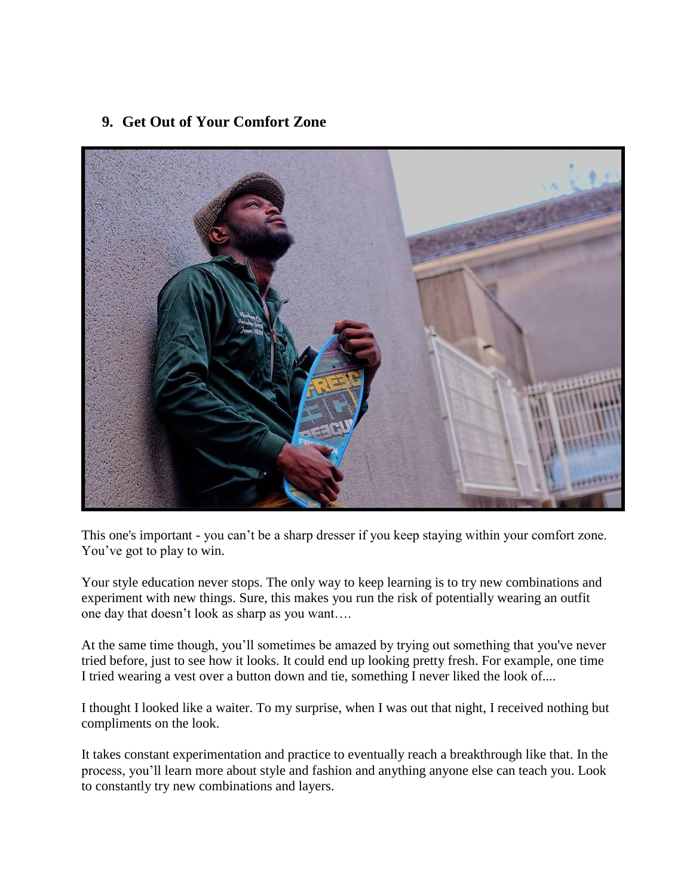## **9. Get Out of Your Comfort Zone**



This one's important - you can't be a sharp dresser if you keep staying within your comfort zone. You've got to play to win.

Your style education never stops. The only way to keep learning is to try new combinations and experiment with new things. Sure, this makes you run the risk of potentially wearing an outfit one day that doesn't look as sharp as you want….

At the same time though, you'll sometimes be amazed by trying out something that you've never tried before, just to see how it looks. It could end up looking pretty fresh. For example, one time I tried wearing a vest over a button down and tie, something I never liked the look of....

I thought I looked like a waiter. To my surprise, when I was out that night, I received nothing but compliments on the look.

It takes constant experimentation and practice to eventually reach a breakthrough like that. In the process, you'll learn more about style and fashion and anything anyone else can teach you. Look to constantly try new combinations and layers.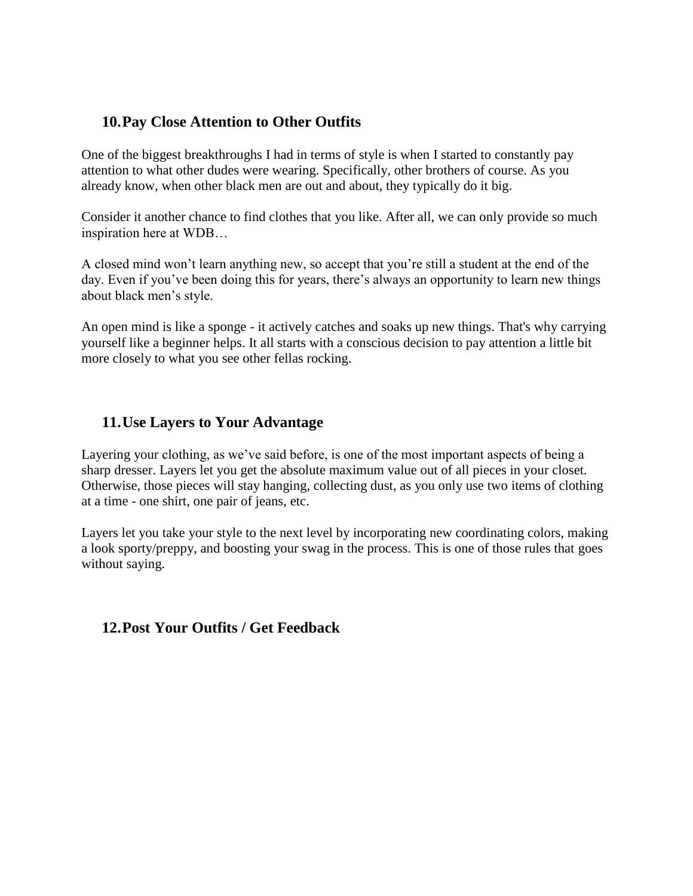### **10.Pay Close Attention to Other Outfits**

One of the biggest breakthroughs I had in terms of style is when I started to constantly pay attention to what other dudes were wearing. Specifically, other brothers of course. As you already know, when other black men are out and about, they typically do it big.

Consider it another chance to find clothes that you like. After all, we can only provide so much inspiration here at WDB…

A closed mind won't learn anything new, so accept that you're still a student at the end of the day. Even if you've been doing this for years, there's always an opportunity to learn new things about black men's style.

An open mind is like a sponge - it actively catches and soaks up new things. That's why carrying yourself like a beginner helps. It all starts with a conscious decision to pay attention a little bit more closely to what you see other fellas rocking.

### **11.Use Layers to Your Advantage**

Layering your clothing, as we've said before, is one of the most important aspects of being a sharp dresser. Layers let you get the absolute maximum value out of all pieces in your closet. Otherwise, those pieces will stay hanging, collecting dust, as you only use two items of clothing at a time - one shirt, one pair of jeans, etc.

Layers let you take your style to the next level by incorporating new coordinating colors, making a look sporty/preppy, and boosting your swag in the process. This is one of those rules that goes without saying.

#### **12.Post Your Outfits / Get Feedback**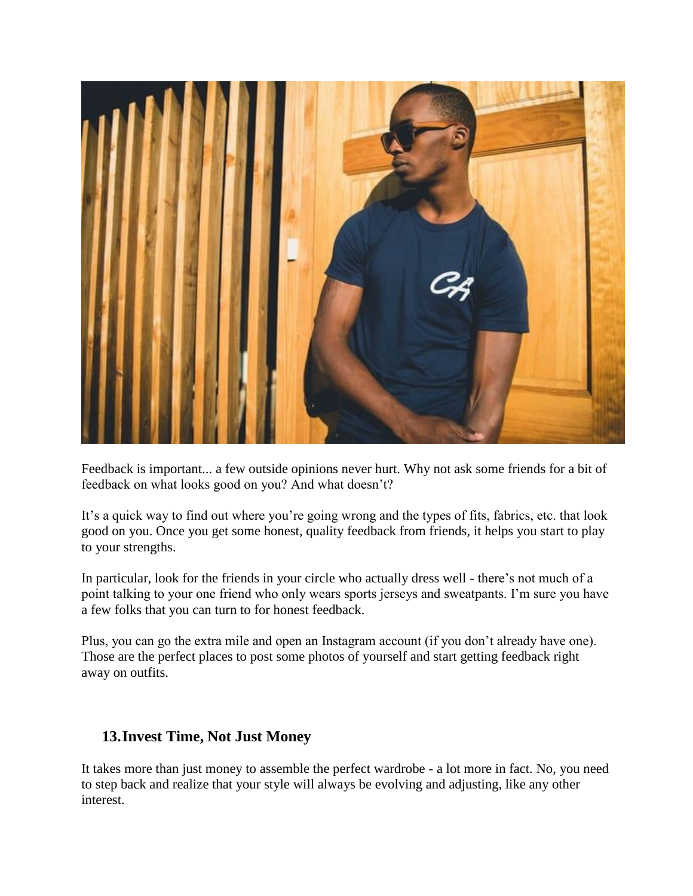

Feedback is important... a few outside opinions never hurt. Why not ask some friends for a bit of feedback on what looks good on you? And what doesn't?

It's a quick way to find out where you're going wrong and the types of fits, fabrics, etc. that look good on you. Once you get some honest, quality feedback from friends, it helps you start to play to your strengths.

In particular, look for the friends in your circle who actually dress well - there's not much of a point talking to your one friend who only wears sports jerseys and sweatpants. I'm sure you have a few folks that you can turn to for honest feedback.

Plus, you can go the extra mile and open an Instagram account (if you don't already have one). Those are the perfect places to post some photos of yourself and start getting feedback right away on outfits.

#### **13.Invest Time, Not Just Money**

It takes more than just money to assemble the perfect wardrobe - a lot more in fact. No, you need to step back and realize that your style will always be evolving and adjusting, like any other interest.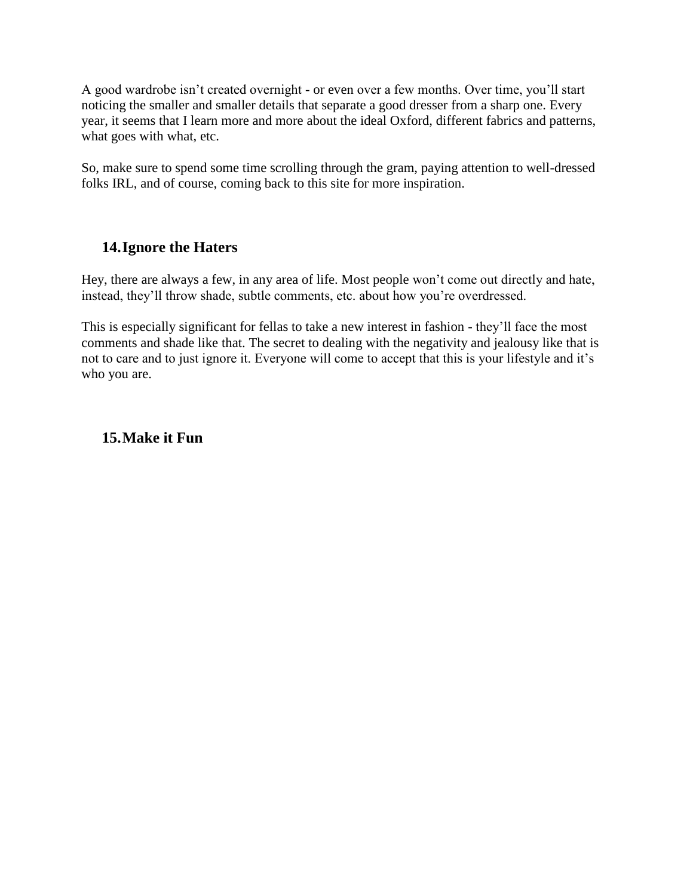A good wardrobe isn't created overnight - or even over a few months. Over time, you'll start noticing the smaller and smaller details that separate a good dresser from a sharp one. Every year, it seems that I learn more and more about the ideal Oxford, different fabrics and patterns, what goes with what, etc.

So, make sure to spend some time scrolling through the gram, paying attention to well-dressed folks IRL, and of course, coming back to this site for more inspiration.

# **14.Ignore the Haters**

Hey, there are always a few, in any area of life. Most people won't come out directly and hate, instead, they'll throw shade, subtle comments, etc. about how you're overdressed.

This is especially significant for fellas to take a new interest in fashion - they'll face the most comments and shade like that. The secret to dealing with the negativity and jealousy like that is not to care and to just ignore it. Everyone will come to accept that this is your lifestyle and it's who you are.

#### **15.Make it Fun**